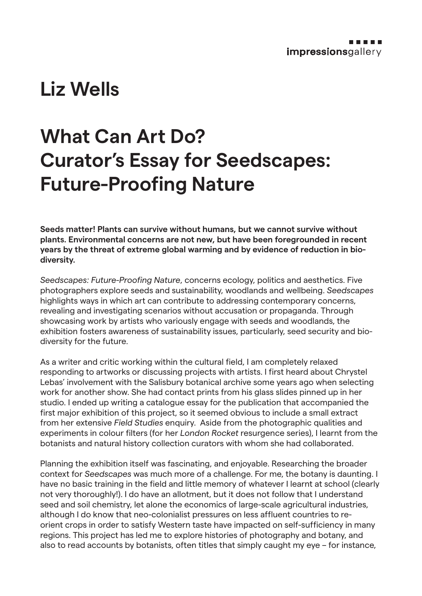## **Liz Wells**

# **What Can Art Do? Curator's Essay for Seedscapes: Future-Proofing Nature**

**Seeds matter! Plants can survive without humans, but we cannot survive without plants. Environmental concerns are not new, but have been foregrounded in recent years by the threat of extreme global warming and by evidence of reduction in biodiversity.**

*Seedscapes: Future-Proofing Nature*, concerns ecology, politics and aesthetics. Five photographers explore seeds and sustainability, woodlands and wellbeing. *Seedscapes* highlights ways in which art can contribute to addressing contemporary concerns, revealing and investigating scenarios without accusation or propaganda. Through showcasing work by artists who variously engage with seeds and woodlands, the exhibition fosters awareness of sustainability issues, particularly, seed security and biodiversity for the future.

As a writer and critic working within the cultural field, I am completely relaxed responding to artworks or discussing projects with artists. I first heard about Chrystel Lebas' involvement with the Salisbury botanical archive some years ago when selecting work for another show. She had contact prints from his glass slides pinned up in her studio. I ended up writing a catalogue essay for the publication that accompanied the first major exhibition of this project, so it seemed obvious to include a small extract from her extensive *Field Studies* enquiry. Aside from the photographic qualities and experiments in colour filters (for her *London Rocket* resurgence series), I learnt from the botanists and natural history collection curators with whom she had collaborated.

Planning the exhibition itself was fascinating, and enjoyable. Researching the broader context for *Seedscapes* was much more of a challenge. For me, the botany is daunting. I have no basic training in the field and little memory of whatever I learnt at school (clearly not very thoroughly!). I do have an allotment, but it does not follow that I understand seed and soil chemistry, let alone the economics of large-scale agricultural industries, although I do know that neo-colonialist pressures on less affluent countries to reorient crops in order to satisfy Western taste have impacted on self-sufficiency in many regions. This project has led me to explore histories of photography and botany, and also to read accounts by botanists, often titles that simply caught my eye – for instance,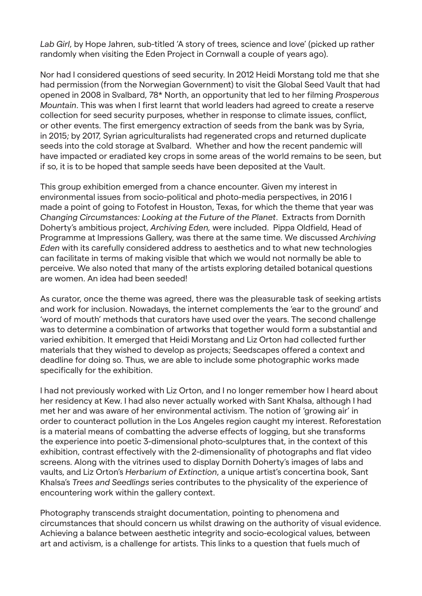*Lab Girl*, by Hope Jahren, sub-titled 'A story of trees, science and love' (picked up rather randomly when visiting the Eden Project in Cornwall a couple of years ago).

Nor had I considered questions of seed security. In 2012 Heidi Morstang told me that she had permission (from the Norwegian Government) to visit the Global Seed Vault that had opened in 2008 in Svalbard, 78\* North, an opportunity that led to her filming *Prosperous Mountain*. This was when I first learnt that world leaders had agreed to create a reserve collection for seed security purposes, whether in response to climate issues, conflict, or other events. The first emergency extraction of seeds from the bank was by Syria, in 2015; by 2017, Syrian agriculturalists had regenerated crops and returned duplicate seeds into the cold storage at Svalbard. Whether and how the recent pandemic will have impacted or eradiated key crops in some areas of the world remains to be seen, but if so, it is to be hoped that sample seeds have been deposited at the Vault.

This group exhibition emerged from a chance encounter. Given my interest in environmental issues from socio-political and photo-media perspectives, in 2016 I made a point of going to Fotofest in Houston, Texas, for which the theme that year was *Changing Circumstances: Looking at the Future of the Planet*. Extracts from Dornith Doherty's ambitious project, *Archiving Eden,* were included. Pippa Oldfield, Head of Programme at Impressions Gallery, was there at the same time. We discussed *Archiving Eden* with its carefully considered address to aesthetics and to what new technologies can facilitate in terms of making visible that which we would not normally be able to perceive. We also noted that many of the artists exploring detailed botanical questions are women. An idea had been seeded!

As curator, once the theme was agreed, there was the pleasurable task of seeking artists and work for inclusion. Nowadays, the internet complements the 'ear to the ground' and 'word of mouth' methods that curators have used over the years. The second challenge was to determine a combination of artworks that together would form a substantial and varied exhibition. It emerged that Heidi Morstang and Liz Orton had collected further materials that they wished to develop as projects; Seedscapes offered a context and deadline for doing so. Thus, we are able to include some photographic works made specifically for the exhibition.

I had not previously worked with Liz Orton, and I no longer remember how I heard about her residency at Kew. I had also never actually worked with Sant Khalsa, although I had met her and was aware of her environmental activism. The notion of 'growing air' in order to counteract pollution in the Los Angeles region caught my interest. Reforestation is a material means of combatting the adverse effects of logging, but she transforms the experience into poetic 3-dimensional photo-sculptures that, in the context of this exhibition, contrast effectively with the 2-dimensionality of photographs and flat video screens. Along with the vitrines used to display Dornith Doherty's images of labs and vaults, and Liz Orton's *Herbarium of Extinction*, a unique artist's concertina book, Sant Khalsa's *Trees and Seedlings* series contributes to the physicality of the experience of encountering work within the gallery context.

Photography transcends straight documentation, pointing to phenomena and circumstances that should concern us whilst drawing on the authority of visual evidence. Achieving a balance between aesthetic integrity and socio-ecological values, between art and activism, is a challenge for artists. This links to a question that fuels much of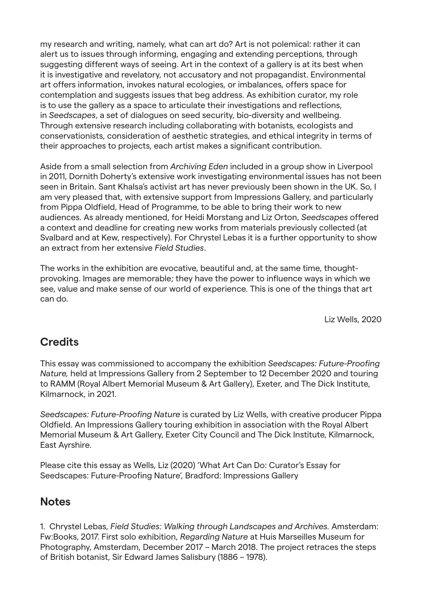my research and writing, namely, what can art do? Art is not polemical: rather it can alert us to issues through informing, engaging and extending perceptions, through suggesting different ways of seeing. Art in the context of a gallery is at its best when it is investigative and revelatory, not accusatory and not propagandist. Environmental art offers information, invokes natural ecologies, or imbalances, offers space for contemplation and suggests issues that beg address. As exhibition curator, my role is to use the gallery as a space to articulate their investigations and reflections, in *Seedscapes*, a set of dialogues on seed security, bio-diversity and wellbeing. Through extensive research including collaborating with botanists, ecologists and conservationists, consideration of aesthetic strategies, and ethical integrity in terms of their approaches to projects, each artist makes a significant contribution.

Aside from a small selection from *Archiving Eden* included in a group show in Liverpool in 2011, Dornith Doherty's extensive work investigating environmental issues has not been seen in Britain. Sant Khalsa's activist art has never previously been shown in the UK. So, I am very pleased that, with extensive support from Impressions Gallery, and particularly from Pippa Oldfield, Head of Programme, to be able to bring their work to new audiences. As already mentioned, for Heidi Morstang and Liz Orton, *Seedscapes* offered a context and deadline for creating new works from materials previously collected (at Svalbard and at Kew, respectively). For Chrystel Lebas it is a further opportunity to show an extract from her extensive *Field Studies*.

The works in the exhibition are evocative, beautiful and, at the same time, thoughtprovoking. Images are memorable; they have the power to influence ways in which we see, value and make sense of our world of experience. This is one of the things that art can do.

Liz Wells, 2020

### **Credits**

This essay was commissioned to accompany the exhibition *Seedscapes: Future-Proofing Nature,* held at Impressions Gallery from 2 September to 12 December 2020 and touring to RAMM (Royal Albert Memorial Museum & Art Gallery), Exeter, and The Dick Institute, Kilmarnock, in 2021.

*Seedscapes: Future-Proofing Nature* is curated by Liz Wells, with creative producer Pippa Oldfield. An Impressions Gallery touring exhibition in association with the Royal Albert Memorial Museum & Art Gallery, Exeter City Council and The Dick Institute, Kilmarnock, East Ayrshire.

Please cite this essay as Wells, Liz (2020) 'What Art Can Do: Curator's Essay for Seedscapes: Future-Proofing Nature', Bradford: Impressions Gallery

#### **Notes**

1. Chrystel Lebas, *Field Studies: Walking through Landscapes and Archives.* Amsterdam: Fw:Books, 2017. First solo exhibition, *Regarding Nature* at Huis Marseilles Museum for Photography, Amsterdam, December 2017 – March 2018. The project retraces the steps of British botanist, Sir Edward James Salisbury (1886 – 1978).